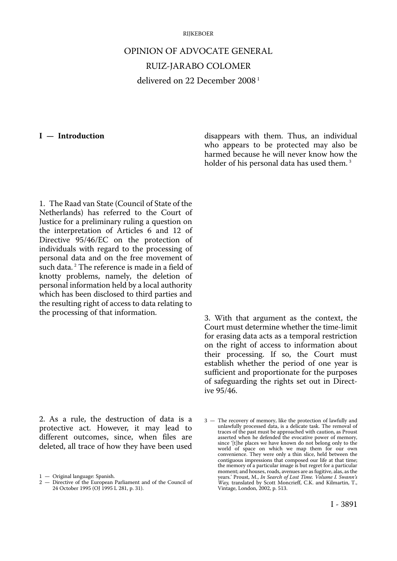#### **RIJKEBOER**

# OPINION OF ADVOCATE GENERAL RUIZ-JARABO COLOMER delivered on 22 December 2008 1

### **I — Introduction**

disappears with them. Thus, an individual who appears to be protected may also be harmed because he will never know how the holder of his personal data has used them.<sup>3</sup>

1. The Raad van State (Council of State of the Netherlands) has referred to the Court of Justice for a preliminary ruling a question on the interpretation of Articles 6 and 12 of Directive 95/46/EC on the protection of individuals with regard to the processing of personal data and on the free movement of such data.<sup>2</sup> The reference is made in a field of knotty problems, namely, the deletion of personal information held by a local authority which has been disclosed to third parties and the resulting right of access to data relating to the processing of that information.

2. As a rule, the destruction of data is a protective act. However, it may lead to different outcomes, since, when files are deleted, all trace of how they have been used 3. With that argument as the context, the Court must determine whether the time-limit for erasing data acts as a temporal restriction on the right of access to information about their processing. If so, the Court must establish whether the period of one year is sufficient and proportionate for the purposes of safeguarding the rights set out in Directive 95/46.

<sup>1</sup> — Original language: Spanish.

<sup>2</sup> — Directive of the European Parliament and of the Council of 24 October 1995 (OJ 1995 L 281, p. 31).

<sup>3</sup> — The recovery of memory, like the protection of lawfully and unlawfully processed data, is a delicate task. The removal of traces of the past must be approached with caution, as Proust asserted when he defended the evocative power of memory, since '[t]he places we have known do not belong only to the world of space on which we map them for our own convenience. They were only a thin slice, held between the contiguous impressions that composed our life at that time; the memory of a particular image is but regret for a particular moment; and houses, roads, avenues are as fugitive, alas, as the years.' Proust, M., *In Search of Lost Time. Volume I. Swann's Way*, translated by Scott Moncrieff, C.K. and Kilmartin, T., Vintage, London, 2002, p. 513.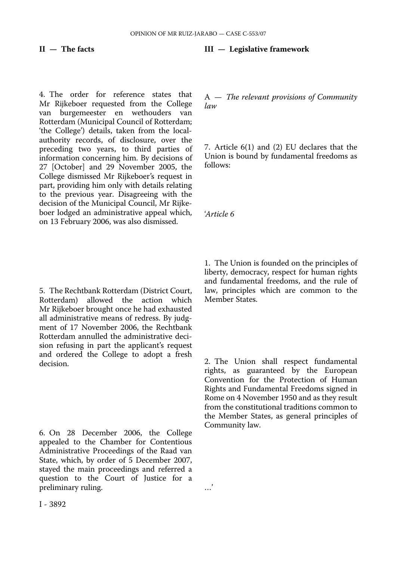**II — The facts** 

4. The order for reference states that Mr Rijkeboer requested from the College van burgemeester en wethouders van Rotterdam (Municipal Council of Rotterdam; 'the College') details, taken from the localauthority records, of disclosure, over the preceding two years, to third parties of information concerning him. By decisions of 27 [October] and 29 November 2005, the College dismissed Mr Rijkeboer's request in part, providing him only with details relating to the previous year. Disagreeing with the decision of the Municipal Council, Mr Rijkeboer lodged an administrative appeal which, on 13 February 2006, was also dismissed.

**III — Legislative framework** 

A — *The relevant provisions of Community law* 

7. Article 6(1) and (2) EU declares that the Union is bound by fundamental freedoms as follows:

'*Article 6* 

…'

5. The Rechtbank Rotterdam (District Court, Rotterdam) allowed the action which allowed the action which Mr Rijkeboer brought once he had exhausted all administrative means of redress. By judgment of 17 November 2006, the Rechtbank Rotterdam annulled the administrative decision refusing in part the applicant's request and ordered the College to adopt a fresh decision.

6. On 28 December 2006, the College appealed to the Chamber for Contentious Administrative Proceedings of the Raad van State, which, by order of 5 December 2007, stayed the main proceedings and referred a question to the Court of Justice for a preliminary ruling.

1. The Union is founded on the principles of liberty, democracy, respect for human rights and fundamental freedoms, and the rule of law, principles which are common to the Member States.

2. The Union shall respect fundamental rights, as guaranteed by the European Convention for the Protection of Human Rights and Fundamental Freedoms signed in Rome on 4 November 1950 and as they result from the constitutional traditions common to the Member States, as general principles of Community law.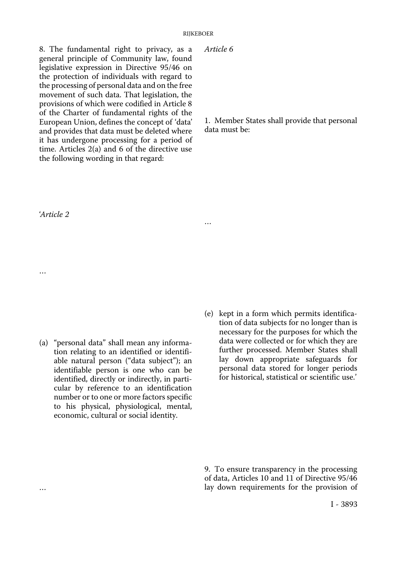8. The fundamental right to privacy, as a general principle of Community law, found legislative expression in Directive 95/46 on the protection of individuals with regard to the processing of personal data and on the free movement of such data. That legislation, the provisions of which were codified in Article 8 of the Charter of fundamental rights of the European Union, defines the concept of 'data' and provides that data must be deleted where it has undergone processing for a period of time. Articles 2(a) and 6 of the directive use the following wording in that regard:

*Article 6* 

…

1. Member States shall provide that personal data must be:

'*Article 2* 

…

…

- (a) "personal data" shall mean any information relating to an identified or identifiable natural person ("data subject"); an identifiable person is one who can be identified, directly or indirectly, in particular by reference to an identification number or to one or more factors specific to his physical, physiological, mental, economic, cultural or social identity.
- (e) kept in a form which permits identification of data subjects for no longer than is necessary for the purposes for which the data were collected or for which they are further processed. Member States shall lay down appropriate safeguards for personal data stored for longer periods for historical, statistical or scientific use.'

9. To ensure transparency in the processing of data, Articles 10 and 11 of Directive 95/46 lay down requirements for the provision of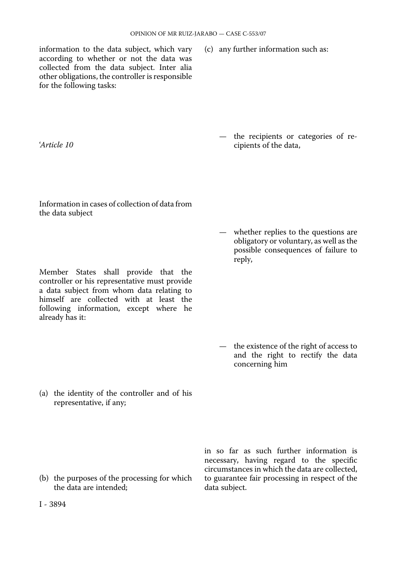information to the data subject, which vary according to whether or not the data was collected from the data subject. Inter alia other obligations, the controller is responsible for the following tasks:

(c) any further information such as:

'*Article 10* 

— the recipients or categories of recipients of the data,

Information in cases of collection of data from the data subject

Member States shall provide that the controller or his representative must provide a data subject from whom data relating to himself are collected with at least the following information, except where he already has it:

— whether replies to the questions are obligatory or voluntary, as well as the possible consequences of failure to reply,

— the existence of the right of access to and the right to rectify the data concerning him

(a) the identity of the controller and of his representative, if any;

(b) the purposes of the processing for which the data are intended;

in so far as such further information is necessary, having regard to the specific circumstances in which the data are collected, to guarantee fair processing in respect of the data subject.

I - 3894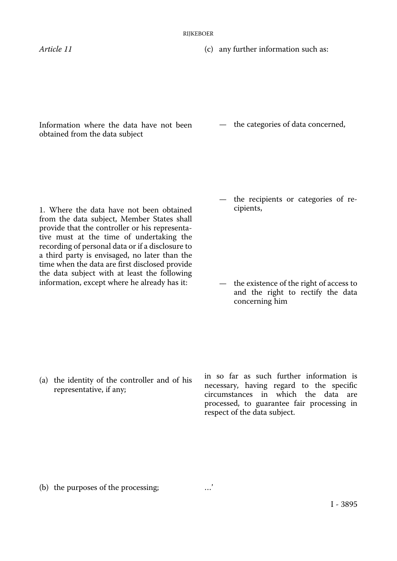*Article 11* (c) any further information such as:

Information where the data have not been obtained from the data subject

— the categories of data concerned,

1. Where the data have not been obtained from the data subject, Member States shall provide that the controller or his representative must at the time of undertaking the recording of personal data or if a disclosure to a third party is envisaged, no later than the time when the data are first disclosed provide the data subject with at least the following information, except where he already has it:

the recipients or categories of recipients,

— the existence of the right of access to and the right to rectify the data concerning him

(a) the identity of the controller and of his representative, if any;

in so far as such further information is necessary, having regard to the specific circumstances in which the data are processed, to guarantee fair processing in respect of the data subject.

(b) the purposes of the processing; …'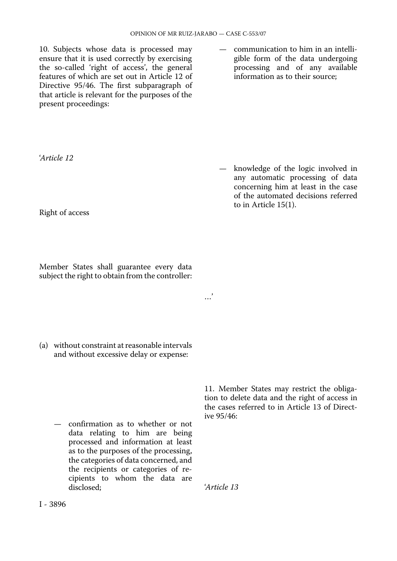10. Subjects whose data is processed may ensure that it is used correctly by exercising the so-called 'right of access', the general features of which are set out in Article 12 of Directive 95/46. The first subparagraph of that article is relevant for the purposes of the present proceedings:

— communication to him in an intelligible form of the data undergoing processing and of any available information as to their source;

'*Article 12* 

— knowledge of the logic involved in any automatic processing of data concerning him at least in the case of the automated decisions referred to in Article 15(1).

Right of access

Member States shall guarantee every data subject the right to obtain from the controller:

(a) without constraint at reasonable intervals and without excessive delay or expense:

— confirmation as to whether or not data relating to him are being processed and information at least as to the purposes of the processing, the categories of data concerned, and the recipients or categories of recipients to whom the data are disclosed;

11. Member States may restrict the obligation to delete data and the right of access in the cases referred to in Article 13 of Directive 95/46:

'*Article 13* 

…'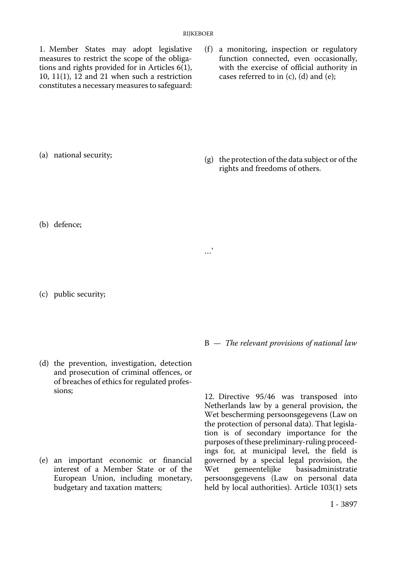1. Member States may adopt legislative measures to restrict the scope of the obligations and rights provided for in Articles 6(1), 10, 11(1),  $12$  and 21 when such a restriction constitutes a necessary measures to safeguard: (f) a monitoring, inspection or regulatory function connected, even occasionally, with the exercise of official authority in cases referred to in (c), (d) and (e);

(a) national security;

(g) the protection of the data subject or of the rights and freedoms of others.

(b) defence;

(c) public security;

(d) the prevention, investigation, detection and prosecution of criminal offences, or of breaches of ethics for regulated professions;

(e) an important economic or financial interest of a Member State or of the European Union, including monetary, budgetary and taxation matters;

B — *The relevant provisions of national law* 

12. Directive 95/46 was transposed into Netherlands law by a general provision, the Wet bescherming persoonsgegevens (Law on the protection of personal data). That legislation is of secondary importance for the purposes of these preliminary-ruling proceedings for, at municipal level, the field is governed by a special legal provision, the<br>Wet gemeentelijke basisadministratie basisadministratie persoonsgegevens (Law on personal data held by local authorities). Article 103(1) sets

…'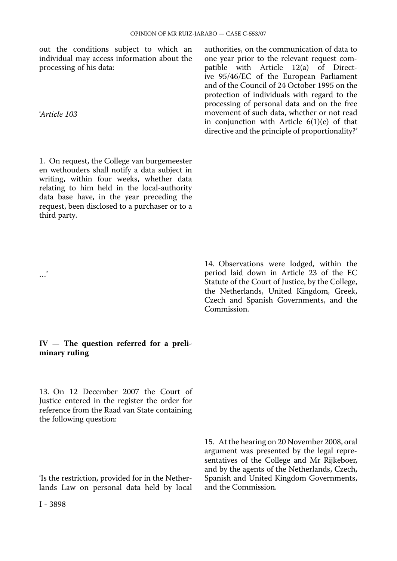out the conditions subject to which an individual may access information about the processing of his data:

'*Article 103* 

…'

1. On request, the College van burgemeester en wethouders shall notify a data subject in writing, within four weeks, whether data relating to him held in the local-authority data base have, in the year preceding the request, been disclosed to a purchaser or to a third party.

authorities, on the communication of data to one year prior to the relevant request compatible with Article 12(a) of Directive 95/46/EC of the European Parliament and of the Council of 24 October 1995 on the protection of individuals with regard to the processing of personal data and on the free movement of such data, whether or not read in conjunction with Article 6(1)(e) of that directive and the principle of proportionality?'

14. Observations were lodged, within the period laid down in Article 23 of the EC Statute of the Court of Justice, by the College, the Netherlands, United Kingdom, Greek, Czech and Spanish Governments, and the Commission.

#### **IV — The question referred for a preliminary ruling**

13. On 12 December 2007 the Court of Justice entered in the register the order for reference from the Raad van State containing the following question:

'Is the restriction, provided for in the Netherlands Law on personal data held by local

15. At the hearing on 20 November 2008, oral argument was presented by the legal representatives of the College and Mr Rijkeboer, and by the agents of the Netherlands, Czech, Spanish and United Kingdom Governments, and the Commission.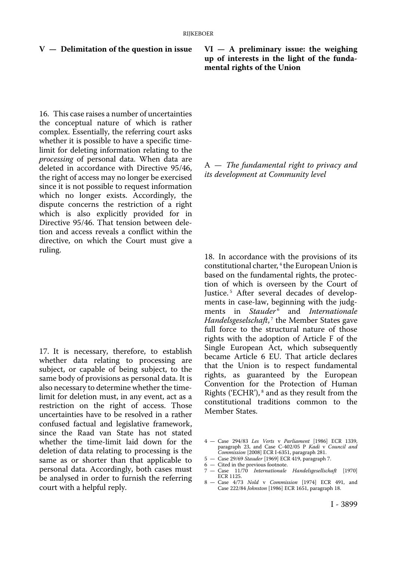#### **V — Delimitation of the question in issue**

16. This case raises a number of uncertainties the conceptual nature of which is rather complex. Essentially, the referring court asks whether it is possible to have a specific timelimit for deleting information relating to the *processing* of personal data. When data are deleted in accordance with Directive 95/46, the right of access may no longer be exercised since it is not possible to request information which no longer exists. Accordingly, the dispute concerns the restriction of a right which is also explicitly provided for in Directive 95/46. That tension between deletion and access reveals a conflict within the directive, on which the Court must give a ruling.

17. It is necessary, therefore, to establish whether data relating to processing are subject, or capable of being subject, to the same body of provisions as personal data. It is also necessary to determine whether the timelimit for deletion must, in any event, act as a restriction on the right of access. Those uncertainties have to be resolved in a rather confused factual and legislative framework, since the Raad van State has not stated whether the time-limit laid down for the deletion of data relating to processing is the same as or shorter than that applicable to personal data. Accordingly, both cases must be analysed in order to furnish the referring court with a helpful reply.

#### **VI — A preliminary issue: the weighing up of interests in the light of the fundamental rights of the Union**

A — *The fundamental right to privacy and its development at Community level* 

18. In accordance with the provisions of its constitutional charter, <sup>4</sup> the European Union is based on the fundamental rights, the protection of which is overseen by the Court of Justice.<sup>5</sup> After several decades of developments in case-law, beginning with the judgments in *Stauder* 6 and *Internationale Handelsgeselschaft*,<sup>7</sup> the Member States gave full force to the structural nature of those rights with the adoption of Article F of the Single European Act, which subsequently became Article 6 EU. That article declares that the Union is to respect fundamental rights, as guaranteed by the European Convention for the Protection of Human Rights ('ECHR'), $^8$  and as they result from the constitutional traditions common to the Member States.

4 — Case 294/83 *Les Verts* v *Parliament* [1986] ECR 1339, paragraph 23, and Case C-402/05 P *Kadi* v *Council and Commission* [2008] ECR I-6351, paragraph 281.

- 5 Case 29/69 *Stauder* [1969] ECR 419, paragraph 7.
- 6 Cited in the previous footnote.
- 7 Case 11/70 *Internationale Handelsgesellschaft* [1970] ECR 1125.
- 8 Case 4/73 *Nold* v *Commission* [1974] ECR 491, and Case 222/84 *Johnston* [1986] ECR 1651, paragraph 18.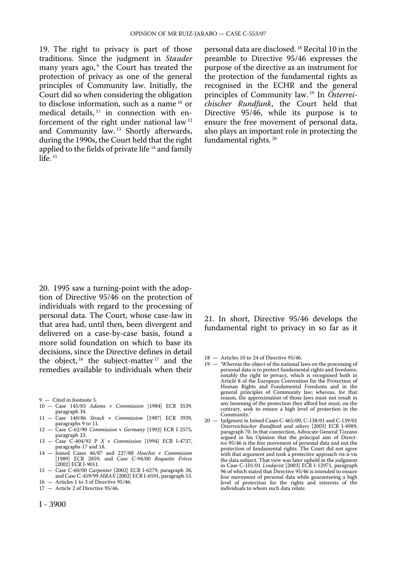19. The right to privacy is part of those traditions. Since the judgment in *Stauder*  many years ago,<sup>9</sup> the Court has treated the protection of privacy as one of the general principles of Community law. Initially, the Court did so when considering the obligation to disclose information, such as a name 10 or medical details,  $11$  in connection with enforcement of the right under national law 12 and Community law. 13 Shortly afterwards, during the 1990s, the Court held that the right applied to the fields of private life<sup>14</sup> and family  $l$ ife.  $15$ 

personal data are disclosed. 18 Recital 10 in the preamble to Directive 95/46 expresses the purpose of the directive as an instrument for the protection of the fundamental rights as recognised in the ECHR and the general principles of Community law. 19 In *Österreichischer Rundfunk*, the Court held that Directive 95/46, while its purpose is to ensure the free movement of personal data, also plays an important role in protecting the fundamental rights. 20

20. 1995 saw a turning-point with the adoption of Directive 95/46 on the protection of individuals with regard to the processing of personal data. The Court, whose case-law in that area had, until then, been divergent and delivered on a case-by-case basis, found a more solid foundation on which to base its decisions, since the Directive defines in detail the object,  $16$  the subject-matter  $17$  and the remedies available to individuals when their

9 — Cited in footnote 5.

- 10 Case 145/83 *Adams* v *Commission* [1984] ECR 3539, paragraph 34.
- 11 Case 140/86 *Strack* v *Commission* [1987] ECR 3939, paragraphs 9 to 11.
- 12 Case C-62/90 *Commission* v *Germany* [1992] ECR I-2575, paragraph 23. 13 — Case C-404/92 P *X* v *Commission* [1994] ECR I-4737,
- paragraphs 17 and 18.
- 14 Joined Cases 46/87 and 227/88 *Hoechst* v *Commission*  [1989] ECR 2859, and Case C-94/00 *Roquette Frères*  [2002] ECR I-9011.
- 15 Case C-60/00 *Carpenter* [2002] ECR I-6279, paragraph 38, and Case C-459/99 *MRAX* [2002] ECR I-6591, paragraph 53.
- 16 Articles 1 to 3 of Directive 95/46. 17 — Article 2 of Directive 95/46.

#### 21. In short, Directive 95/46 develops the fundamental right to privacy in so far as it

- 18 Articles 10 to 24 of Directive 95/46.
- 19 'Whereas the object of the national laws on the processing of personal data is to protect fundamental rights and freedoms, notably the right to privacy, which is recognised both in Article 8 of the European Convention for the Protection of Human Rights and Fundamental Freedoms and in the general principles of Community law; whereas, for that reason, the approximation of those laws must not result in any lessening of the protection they afford but must, on the contrary, seek to ensure a high level of protection in the Community.'
- 20 Judgment in Joined Cases C-465/00, C-138/01 and C-139/01 *Österreichischer Rundfunk and others* [2003] ECR I-4989, paragraph 70. In that connection, Advocate General Tizzano argued in his Opinion that the principal aim of Directive 95/46 is the free movement of personal data and not the protection of fundamental rights. The Court did not agree with that argument and took a protective approach vis-à-vis the data subject. That view was later upheld in the judgment in Case C-101/01 *Lindqvist* [2003] ECR I-12971, paragraph 96 of which stated that Directive 95/46 is intended to ensure free movement of personal data while guaranteeing a high level of protection for the rights and interests of the individuals to whom such data relate.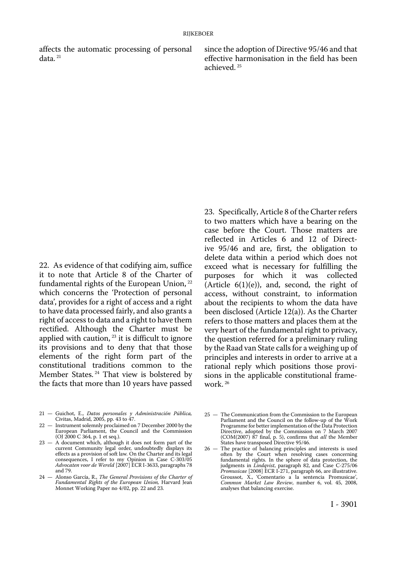affects the automatic processing of personal since the adoption of Directive 95/46 and that data.<sup>21</sup> effective harmonisation in the field has been

effective harmonisation in the field has been achieved. 25

22. As evidence of that codifying aim, suffice it to note that Article 8 of the Charter of fundamental rights of the European Union, <sup>22</sup> which concerns the 'Protection of personal data', provides for a right of access and a right to have data processed fairly, and also grants a right of access to data and a right to have them rectified. Although the Charter must be applied with caution,  $23$  it is difficult to ignore its provisions and to deny that that those elements of the right form part of the constitutional traditions common to the Member States. 24 That view is bolstered by the facts that more than 10 years have passed

- 21 Guichot, E., *Datos personales y Administración Pública,*  Civitas, Madrid, 2005, pp. 43 to 47.
- 22 Instrument solemnly proclaimed on 7 December 2000 by the European Parliament, the Council and the Commission (OJ 2000 C 364, p. 1 et seq.).
- 23 A document which, although it does not form part of the current Community legal order, undoubtedly displays its effects as a provision of soft law*.* On the Charter and its legal consequences, I refer to my Opinion in Case C-303/05 *Advocaten voor de Wereld* [2007] ECR I-3633, paragraphs 78 and 79.
- 24 Alonso García, R., *The General Provisions of the Charter of Fundamental Rights of the European Union,* Harvard Jean Monnet Working Paper no 4/02, pp. 22 and 23.

23. Specifically, Article 8 of the Charter refers to two matters which have a bearing on the case before the Court. Those matters are reflected in Articles 6 and 12 of Directive 95/46 and are, first, the obligation to delete data within a period which does not exceed what is necessary for fulfilling the purposes for which it was collected (Article  $6(1)(e)$ ), and, second, the right of access, without constraint, to information about the recipients to whom the data have been disclosed (Article 12(a)). As the Charter refers to those matters and places them at the very heart of the fundamental right to privacy, the question referred for a preliminary ruling by the Raad van State calls for a weighing up of principles and interests in order to arrive at a rational reply which positions those provisions in the applicable constitutional framework. 26

<sup>25</sup> — The Communication from the Commission to the European Parliament and the Council on the follow-up of the Work Programme for better implementation of the Data Protection Directive, adopted by the Commission on 7 March 2007 (COM(2007) 87 final, p. 5), confirms that *all* the Member States have transposed Directive 95/46.

<sup>26</sup> — The practice of balancing principles and interests is used often by the Court when resolving cases concerning fundamental rights. In the sphere of data protection, the judgments in *Lindqvist*, paragraph 82, and Case C-275/06 *Promusicae* [2008] ECR I-271, paragraph 66, are illustrative. Groussot, X., 'Comentario a la sentencia Promusicae', *Common Market Law Review*, number 6, vol. 45, 2008, analyses that balancing exercise.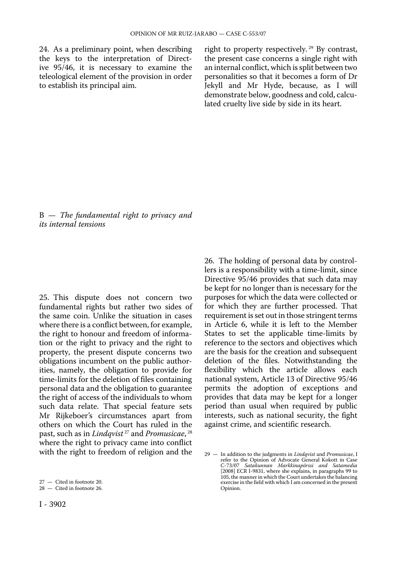24. As a preliminary point, when describing the keys to the interpretation of Directive 95/46, it is necessary to examine the teleological element of the provision in order to establish its principal aim.

right to property respectively. 29 By contrast, the present case concerns a single right with an internal conflict, which is split between two personalities so that it becomes a form of Dr Jekyll and Mr Hyde, because, as I will demonstrate below, goodness and cold, calculated cruelty live side by side in its heart.

B — *The fundamental right to privacy and its internal tensions* 

25. This dispute does not concern two fundamental rights but rather two sides of the same coin. Unlike the situation in cases where there is a conflict between, for example, the right to honour and freedom of information or the right to privacy and the right to property, the present dispute concerns two obligations incumbent on the public authorities, namely, the obligation to provide for time-limits for the deletion of files containing personal data and the obligation to guarantee the right of access of the individuals to whom such data relate. That special feature sets Mr Rijkeboer's circumstances apart from others on which the Court has ruled in the past, such as in *Lindqvist* 27 and *Promusicae*, 28 where the right to privacy came into conflict with the right to freedom of religion and the 26. The holding of personal data by controllers is a responsibility with a time-limit, since Directive 95/46 provides that such data may be kept for no longer than is necessary for the purposes for which the data were collected or for which they are further processed. That requirement is set out in those stringent terms in Article 6, while it is left to the Member States to set the applicable time-limits by reference to the sectors and objectives which are the basis for the creation and subsequent deletion of the files. Notwithstanding the flexibility which the article allows each national system, Article 13 of Directive 95/46 permits the adoption of exceptions and provides that data may be kept for a longer period than usual when required by public interests, such as national security, the fight against crime, and scientific research.

<sup>27</sup> — Cited in footnote 20.

<sup>28</sup> — Cited in footnote 26.

<sup>29</sup> — In addition to the judgments in *Lindqvist* and *Promusicae*, I refer to the Opinion of Advocate General Kokott in Case C-73/07 *Satakunnan Markkinapörssi and Satamedia*  [2008] ECR I-9831, where she explains, in paragraphs 99 to 105, the manner in which the Court undertakes the balancing exercise in the field with which I am concerned in the present Opinion.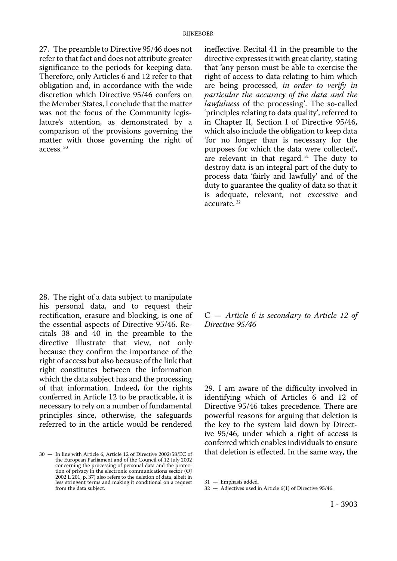27. The preamble to Directive 95/46 does not refer to that fact and does not attribute greater significance to the periods for keeping data. Therefore, only Articles 6 and 12 refer to that obligation and, in accordance with the wide discretion which Directive 95/46 confers on the Member States, I conclude that the matter was not the focus of the Community legislature's attention, as demonstrated by a comparison of the provisions governing the matter with those governing the right of access. 30

ineffective. Recital 41 in the preamble to the directive expresses it with great clarity, stating that 'any person must be able to exercise the right of access to data relating to him which are being processed, *in order to verify in particular the accuracy of the data and the lawfulness* of the processing'. The so-called 'principles relating to data quality', referred to in Chapter II, Section I of Directive 95/46, which also include the obligation to keep data 'for no longer than is necessary for the purposes for which the data were collected', are relevant in that regard.<sup>31</sup> The duty to destroy data is an integral part of the duty to process data 'fairly and lawfully' and of the duty to guarantee the quality of data so that it is adequate, relevant, not excessive and accurate. 32

28. The right of a data subject to manipulate his personal data, and to request their rectification, erasure and blocking, is one of the essential aspects of Directive 95/46. Recitals 38 and 40 in the preamble to the directive illustrate that view, not only because they confirm the importance of the right of access but also because of the link that right constitutes between the information which the data subject has and the processing of that information. Indeed, for the rights conferred in Article 12 to be practicable, it is necessary to rely on a number of fundamental principles since, otherwise, the safeguards referred to in the article would be rendered

C — *Article 6 is secondary to Article 12 of Directive 95/46* 

29. I am aware of the difficulty involved in identifying which of Articles 6 and 12 of Directive 95/46 takes precedence. There are powerful reasons for arguing that deletion is the key to the system laid down by Directive 95/46, under which a right of access is conferred which enables individuals to ensure that deletion is effected. In the same way, the

<sup>30</sup> — In line with Article 6, Article 12 of Directive 2002/58/EC of the European Parliament and of the Council of 12 July 2002 concerning the processing of personal data and the protection of privacy in the electronic communications sector (OJ 2002 L 201, p. 37) also refers to the deletion of data, albeit in less stringent terms and making it conditional on a request from the data subject.

<sup>31</sup> — Emphasis added.

<sup>32</sup> — Adjectives used in Article 6(1) of Directive 95/46.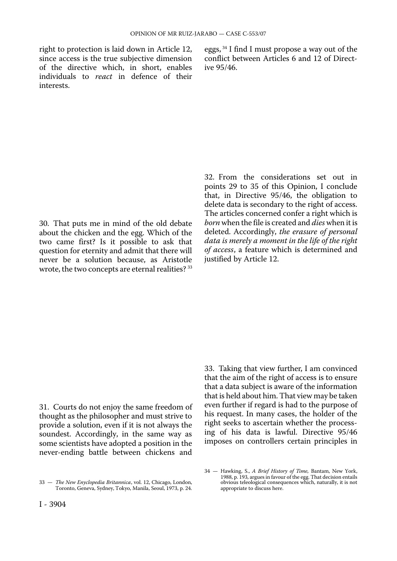since access is the true subjective dimension conflict be of the directive which, in short, enables ive  $95/46$ . of the directive which, in short, enables individuals to *react* in defence of their interests.

right to protection is laid down in Article 12, eggs,  $34$  I find I must propose a way out of the since access is the true subjective dimension conflict between Articles 6 and 12 of Direct-

30. That puts me in mind of the old debate about the chicken and the egg. Which of the two came first? Is it possible to ask that question for eternity and admit that there will never be a solution because, as Aristotle wrote, the two concepts are eternal realities? 33

32. From the considerations set out in points 29 to 35 of this Opinion, I conclude that, in Directive 95/46, the obligation to delete data is secondary to the right of access. The articles concerned confer a right which is *born* when the file is created and *dies* when it is deleted. Accordingly, *the erasure of personal data is merely a moment in the life of the right of access*, a feature which is determined and justified by Article 12.

31. Courts do not enjoy the same freedom of thought as the philosopher and must strive to provide a solution, even if it is not always the soundest. Accordingly, in the same way as some scientists have adopted a position in the never-ending battle between chickens and

33. Taking that view further, I am convinced that the aim of the right of access is to ensure that a data subject is aware of the information that is held about him. That view may be taken even further if regard is had to the purpose of his request. In many cases, the holder of the right seeks to ascertain whether the processing of his data is lawful. Directive 95/46 imposes on controllers certain principles in

<sup>33</sup> — *The New Enyclopedia Britannica*, vol. 12, Chicago, London, Toronto, Geneva, Sydney, Tokyo, Manila, Seoul, 1973, p. 24.

<sup>34</sup> — Hawking, S., *A Brief History of Time,* Bantam, New York, 1988, p. 193, argues in favour of the egg. That decision entails obvious teleological consequences which, naturally, it is not appropriate to discuss here.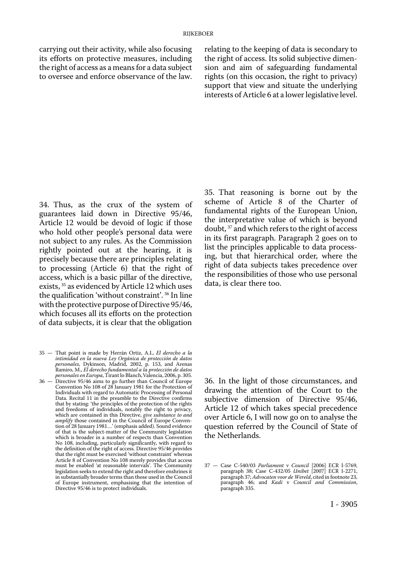carrying out their activity, while also focusing its efforts on protective measures, including the right of access as a means for a data subject to oversee and enforce observance of the law.

relating to the keeping of data is secondary to the right of access. Its solid subjective dimension and aim of safeguarding fundamental rights (on this occasion, the right to privacy) support that view and situate the underlying interests of Article 6 at a lower legislative level.

34. Thus, as the crux of the system of guarantees laid down in Directive 95/46, Article 12 would be devoid of logic if those who hold other people's personal data were not subject to any rules. As the Commission rightly pointed out at the hearing, it is precisely because there are principles relating to processing (Article 6) that the right of access, which is a basic pillar of the directive, exists, 35 as evidenced by Article 12 which uses the qualification 'without constraint'. 36 In line with the protective purpose of Directive 95/46, which focuses all its efforts on the protection of data subjects, it is clear that the obligation

- 35 That point is made by Herrán Ortiz, A.I., *El derecho a la intimidad en la nueva Ley Orgánica de protección de datos personales,* Dykinson, Madrid, 2002, p. 153, and Arenas Ramiro, M., *El derecho fundamental a la protección de datos personales en Europa,* Tirant lo Blanch,Valencia, 2006, p. 305.
- 36 Directive 95/46 aims to go further than Council of Europe Convention No 108 of 28 January 1981 for the Protection of Individuals with regard to Automatic Processing of Personal Data. Recital 11 in the preamble to the Directive confirms that by stating: 'the principles of the protection of the rights and freedoms of individuals, notably the right to privacy, which are contained in this Directive, *give substance to and amplify* those contained in the Council of Europe Convention of 28 January 1981…' (emphasis added). Sound evidence of that is the subject-matter of the Community legislation which is broader in a number of respects than Convention No 108, including, particularly significantly, with regard to the definition of the right of access. Directive 95/46 provides that the right must be exercised 'without constraint' whereas Article 8 of Convention No 108 merely provides that access must be enabled 'at reasonable intervals'. The Community legislation seeks to extend the right and therefore enshrines it in substantially broader terms than those used in the Council of Europe instrument, emphasising that the intention of Directive 95/46 is to protect individuals.

35. That reasoning is borne out by the scheme of Article 8 of the Charter of fundamental rights of the European Union, the interpretative value of which is beyond doubt, 37 and which refers to the right of access in its first paragraph. Paragraph 2 goes on to list the principles applicable to data processing, but that hierarchical order, where the right of data subjects takes precedence over the responsibilities of those who use personal data, is clear there too.

36. In the light of those circumstances, and drawing the attention of the Court to the subjective dimension of Directive 95/46, Article 12 of which takes special precedence over Article 6, I will now go on to analyse the question referred by the Council of State of the Netherlands.

<sup>37</sup> — Case C-540/03 *Parliament* v *Council* [2006] ECR I-5769, paragraph 38; Case C-432/05 *Unibet* [2007] ECR I-2271, paragraph 37; *Advocaten voor de Wereld*, cited in footnote 23, paragraph 46; and *Kadi* v *Council and Commission*, paragraph 335.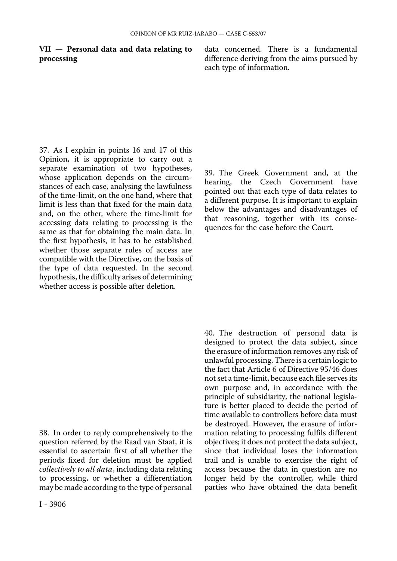**VII — Personal data and data relating to** data concerned. There is a fundamental **processing** difference deriving from the aims pursued by difference deriving from the aims pursued by each type of information.

37. As I explain in points 16 and 17 of this Opinion, it is appropriate to carry out a separate examination of two hypotheses, whose application depends on the circumstances of each case, analysing the lawfulness of the time-limit, on the one hand, where that limit is less than that fixed for the main data and, on the other, where the time-limit for accessing data relating to processing is the same as that for obtaining the main data. In the first hypothesis, it has to be established whether those separate rules of access are compatible with the Directive, on the basis of the type of data requested. In the second hypothesis, the difficulty arises of determining whether access is possible after deletion.

38. In order to reply comprehensively to the question referred by the Raad van Staat, it is essential to ascertain first of all whether the periods fixed for deletion must be applied *collectively to all data*, including data relating to processing, or whether a differentiation may be made according to the type of personal

39. The Greek Government and, at the hearing, the Czech Government have pointed out that each type of data relates to a different purpose. It is important to explain below the advantages and disadvantages of that reasoning, together with its consequences for the case before the Court.

40. The destruction of personal data is designed to protect the data subject, since the erasure of information removes any risk of unlawful processing. There is a certain logic to the fact that Article 6 of Directive 95/46 does not set a time-limit, because each file serves its own purpose and, in accordance with the principle of subsidiarity, the national legislature is better placed to decide the period of time available to controllers before data must be destroyed. However, the erasure of information relating to processing fulfils different objectives; it does not protect the data subject, since that individual loses the information trail and is unable to exercise the right of access because the data in question are no longer held by the controller, while third parties who have obtained the data benefit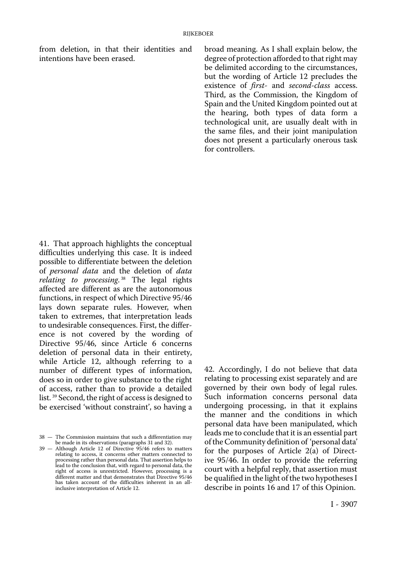from deletion, in that their identities and intentions have been erased.

broad meaning. As I shall explain below, the degree of protection afforded to that right may be delimited according to the circumstances, but the wording of Article 12 precludes the existence of *first-* and *second-class* access. Third, as the Commission, the Kingdom of Spain and the United Kingdom pointed out at the hearing, both types of data form a technological unit, are usually dealt with in the same files, and their joint manipulation does not present a particularly onerous task for controllers.

41. That approach highlights the conceptual difficulties underlying this case. It is indeed possible to differentiate between the deletion of *personal data* and the deletion of *data relating to processing*. 38 The legal rights affected are different as are the autonomous functions, in respect of which Directive 95/46 lays down separate rules. However, when taken to extremes, that interpretation leads to undesirable consequences. First, the difference is not covered by the wording of Directive 95/46, since Article 6 concerns deletion of personal data in their entirety, while Article 12, although referring to a number of different types of information, does so in order to give substance to the right of access, rather than to provide a detailed list. 39 Second, the right of access is designed to be exercised 'without constraint', so having a

42. Accordingly, I do not believe that data relating to processing exist separately and are governed by their own body of legal rules. Such information concerns personal data undergoing processing, in that it explains the manner and the conditions in which personal data have been manipulated, which leads me to conclude that it is an essential part of the Community definition of 'personal data' for the purposes of Article 2(a) of Directive 95/46. In order to provide the referring court with a helpful reply, that assertion must be qualified in the light of the two hypotheses I describe in points 16 and 17 of this Opinion.

<sup>38</sup> — The Commission maintains that such a differentiation may be made in its observations (paragraphs 31 and 32).

<sup>39</sup> — Although Article 12 of Directive 95/46 refers to matters relating to access, it concerns other matters connected to processing rather than personal data. That assertion helps to lead to the conclusion that, with regard to personal data, the right of access is unrestricted. However, processing is a different matter and that demonstrates that Directive 95/46 has taken account of the difficulties inherent in an allinclusive interpretation of Article 12.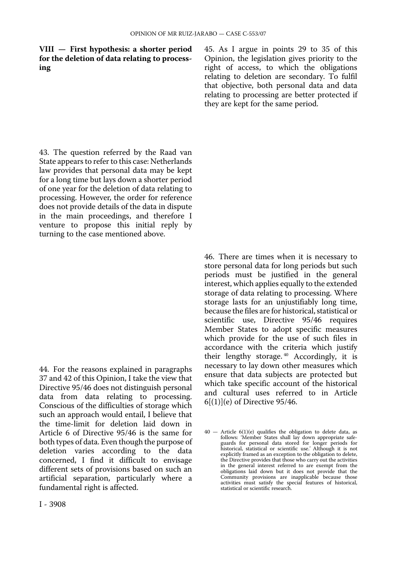#### **VIII — First hypothesis: a shorter period for the deletion of data relating to processing**

45. As I argue in points 29 to 35 of this Opinion, the legislation gives priority to the right of access, to which the obligations relating to deletion are secondary. To fulfil that objective, both personal data and data relating to processing are better protected if they are kept for the same period.

43. The question referred by the Raad van State appears to refer to this case: Netherlands law provides that personal data may be kept for a long time but lays down a shorter period of one year for the deletion of data relating to processing. However, the order for reference does not provide details of the data in dispute in the main proceedings, and therefore I venture to propose this initial reply by turning to the case mentioned above.

44. For the reasons explained in paragraphs 37 and 42 of this Opinion, I take the view that Directive 95/46 does not distinguish personal data from data relating to processing. Conscious of the difficulties of storage which such an approach would entail, I believe that the time-limit for deletion laid down in Article 6 of Directive 95/46 is the same for both types of data. Even though the purpose of deletion varies according to the data concerned, I find it difficult to envisage different sets of provisions based on such an artificial separation, particularly where a fundamental right is affected.

46. There are times when it is necessary to store personal data for long periods but such periods must be justified in the general interest, which applies equally to the extended storage of data relating to processing. Where storage lasts for an unjustifiably long time, because the files are for historical, statistical or scientific use, Directive 95/46 requires Member States to adopt specific measures which provide for the use of such files in accordance with the criteria which justify their lengthy storage. 40 Accordingly, it is necessary to lay down other measures which ensure that data subjects are protected but which take specific account of the historical and cultural uses referred to in Article 6[(1)](e) of Directive 95/46.

<sup>40</sup> — Article 6(1)(e) qualifies the obligation to delete data, as follows: 'Member States shall lay down appropriate safe-guards for personal data stored for longer periods for historical, statistical or scientific use.' Although it is not explicitly framed as an exception to the obligation to delete, the Directive provides that those who carry out the activities in the general interest referred to are exempt from the obligations laid down but it does not provide that the Community provisions are inapplicable because those activities must satisfy the special features of historical, statistical or scientific research.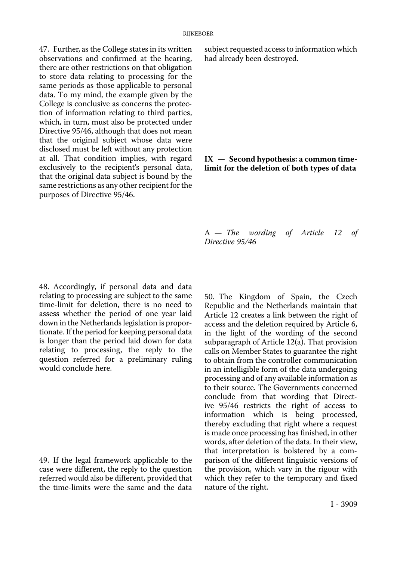47. Further, as the College states in its written observations and confirmed at the hearing, there are other restrictions on that obligation to store data relating to processing for the same periods as those applicable to personal data. To my mind, the example given by the College is conclusive as concerns the protection of information relating to third parties, which, in turn, must also be protected under Directive 95/46, although that does not mean that the original subject whose data were disclosed must be left without any protection at all. That condition implies, with regard exclusively to the recipient's personal data, that the original data subject is bound by the same restrictions as any other recipient for the purposes of Directive 95/46.

subject requested access to information which had already been destroyed.

#### **IX — Second hypothesis: a common timelimit for the deletion of both types of data**

A — *The wording of Article 12 of Directive 95/46* 

48. Accordingly, if personal data and data relating to processing are subject to the same time-limit for deletion, there is no need to assess whether the period of one year laid down in the Netherlands legislation is proportionate. If the period for keeping personal data is longer than the period laid down for data relating to processing, the reply to the question referred for a preliminary ruling would conclude here.

49. If the legal framework applicable to the case were different, the reply to the question referred would also be different, provided that the time-limits were the same and the data

50. The Kingdom of Spain, the Czech Republic and the Netherlands maintain that Article 12 creates a link between the right of access and the deletion required by Article 6, in the light of the wording of the second subparagraph of Article 12(a). That provision calls on Member States to guarantee the right to obtain from the controller communication in an intelligible form of the data undergoing processing and of any available information as to their source. The Governments concerned conclude from that wording that Directive 95/46 restricts the right of access to information which is being processed, thereby excluding that right where a request is made once processing has finished, in other words, after deletion of the data. In their view, that interpretation is bolstered by a comparison of the different linguistic versions of the provision, which vary in the rigour with which they refer to the temporary and fixed nature of the right.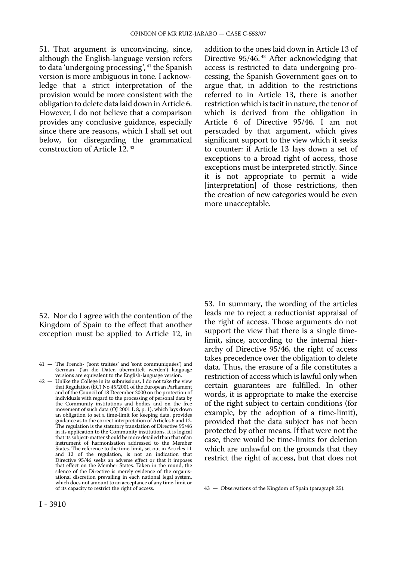51. That argument is unconvincing, since, although the English-language version refers to data 'undergoing processing', 41 the Spanish version is more ambiguous in tone. I acknowledge that a strict interpretation of the provision would be more consistent with the obligation to delete data laid down in Article 6. However, I do not believe that a comparison provides any conclusive guidance, especially since there are reasons, which I shall set out below, for disregarding the grammatical construction of Article 12. 42

addition to the ones laid down in Article 13 of Directive 95/46. 43 After acknowledging that access is restricted to data undergoing processing, the Spanish Government goes on to argue that, in addition to the restrictions referred to in Article 13, there is another restriction which is tacit in nature, the tenor of which is derived from the obligation in Article 6 of Directive 95/46. I am not persuaded by that argument, which gives significant support to the view which it seeks to counter: if Article 13 lays down a set of exceptions to a broad right of access, those exceptions must be interpreted strictly. Since it is not appropriate to permit a wide [interpretation] of those restrictions, then the creation of new categories would be even more unacceptable.

52. Nor do I agree with the contention of the Kingdom of Spain to the effect that another exception must be applied to Article 12, in

42 — Unlike the College in its submissions, I do not take the view that Regulation (EC) No 45/2001 of the European Parliament and of the Council of 18 December 2000 on the protection of individuals with regard to the processing of personal data by the Community institutions and bodies and on the free movement of such data (OJ 2001 L 8, p. 1), which lays down an obligation to set a time-limit for keeping data, provides guidance as to the correct interpretation of Articles 6 and 12. The regulation is the statutory translation of Directive 95/46 in its application to the Community institutions. It is logical that its subject-matter should be more detailed than that of an instrument of harmonisation addressed to the Member States. The reference to the time-limit, set out in Articles 11 and 12 of the regulation, is not an indication that Directive 95/46 seeks an adverse effect or that it imposes that effect on the Member States. Taken in the round, the silence of the Directive is merely evidence of the organisational discretion prevailing in each national legal system, which does not amount to an acceptance of any time-limit or of its capacity to restrict the right of access.

53. In summary, the wording of the articles leads me to reject a reductionist appraisal of the right of access. Those arguments do not support the view that there is a single timelimit, since, according to the internal hierarchy of Directive 95/46, the right of access takes precedence over the obligation to delete data. Thus, the erasure of a file constitutes a restriction of access which is lawful only when certain guarantees are fulfilled. In other words, it is appropriate to make the exercise of the right subject to certain conditions (for example, by the adoption of a time-limit), provided that the data subject has not been protected by other means. If that were not the case, there would be time-limits for deletion which are unlawful on the grounds that they restrict the right of access, but that does not

<sup>41</sup> — The French- ('sont traitées' and 'sont communiquées') and German- ('an die Daten übermittelt werden') language versions are equivalent to the English-language version.

<sup>43</sup> — Observations of the Kingdom of Spain (paragraph 25).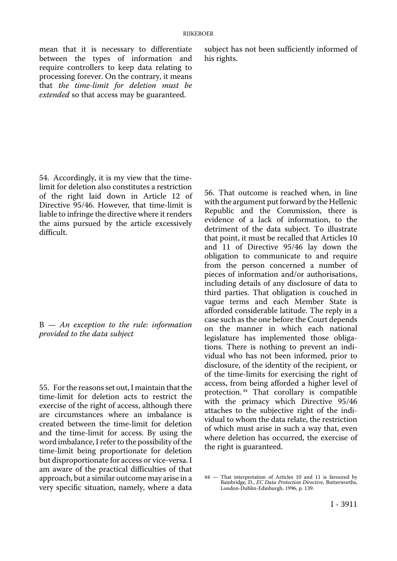between the types of information and require controllers to keep data relating to processing forever. On the contrary, it means that *the time-limit for deletion must be extended* so that access may be guaranteed.

mean that it is necessary to differentiate subject has not been sufficiently informed of between the types of information and his rights.

54. Accordingly, it is my view that the timelimit for deletion also constitutes a restriction of the right laid down in Article 12 of Directive 95/46. However, that time-limit is liable to infringe the directive where it renders the aims pursued by the article excessively difficult.

B — *An exception to the rule: information provided to the data subject* 

55. For the reasons set out, I maintain that the time-limit for deletion acts to restrict the exercise of the right of access, although there are circumstances where an imbalance is created between the time-limit for deletion and the time-limit for access. By using the word imbalance, I refer to the possibility of the time-limit being proportionate for deletion but disproportionate for access or vice-versa. I am aware of the practical difficulties of that approach, but a similar outcome may arise in a very specific situation, namely, where a data

56. That outcome is reached when, in line with the argument put forward by the Hellenic Republic and the Commission, there is evidence of a lack of information, to the detriment of the data subject. To illustrate that point, it must be recalled that Articles 10 and 11 of Directive 95/46 lay down the obligation to communicate to and require from the person concerned a number of pieces of information and/or authorisations, including details of any disclosure of data to third parties. That obligation is couched in vague terms and each Member State is afforded considerable latitude. The reply in a case such as the one before the Court depends on the manner in which each national legislature has implemented those obligations. There is nothing to prevent an individual who has not been informed, prior to disclosure, of the identity of the recipient, or of the time-limits for exercising the right of access, from being afforded a higher level of protection. 44 That corollary is compatible with the primacy which Directive 95/46 attaches to the subjective right of the individual to whom the data relate, the restriction of which must arise in such a way that, even where deletion has occurred, the exercise of the right is guaranteed.

<sup>44</sup> — That interpretation of Articles 10 and 11 is favoured by Bainbridge, D., *EC Data Protection Directive,* Butterworths, London-Dublin-Edinburgh, 1996, p. 139.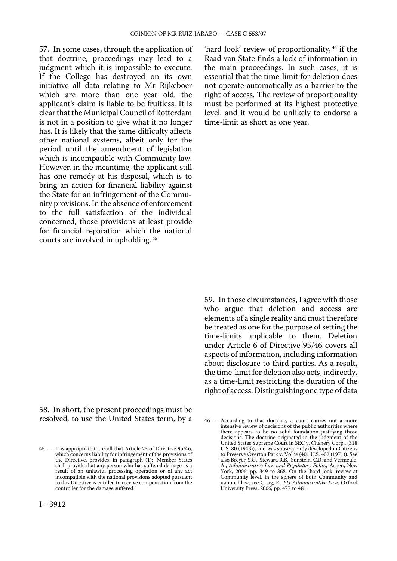57. In some cases, through the application of that doctrine, proceedings may lead to a judgment which it is impossible to execute. If the College has destroyed on its own initiative all data relating to Mr Rijkeboer which are more than one year old, the applicant's claim is liable to be fruitless. It is clear that the Municipal Council of Rotterdam is not in a position to give what it no longer has. It is likely that the same difficulty affects other national systems, albeit only for the period until the amendment of legislation which is incompatible with Community law. However, in the meantime, the applicant still has one remedy at his disposal, which is to bring an action for financial liability against the State for an infringement of the Community provisions. In the absence of enforcement to the full satisfaction of the individual concerned, those provisions at least provide for financial reparation which the national courts are involved in upholding. 45

'hard look' review of proportionality, 46 if the Raad van State finds a lack of information in the main proceedings. In such cases, it is essential that the time-limit for deletion does not operate automatically as a barrier to the right of access. The review of proportionality must be performed at its highest protective level, and it would be unlikely to endorse a time-limit as short as one year.

58. In short, the present proceedings must be resolved, to use the United States term, by a 59. In those circumstances, I agree with those who argue that deletion and access are elements of a single reality and must therefore be treated as one for the purpose of setting the time-limits applicable to them. Deletion under Article 6 of Directive 95/46 covers all aspects of information, including information about disclosure to third parties. As a result, the time-limit for deletion also acts, indirectly, as a time-limit restricting the duration of the right of access. Distinguishing one type of data

<sup>45</sup> — It is appropriate to recall that Article 23 of Directive 95/46, which concerns liability for infringement of the provisions of the Directive, provides, in paragraph (1): 'Member States shall provide that any person who has suffered damage as a result of an unlawful processing operation or of any act incompatible with the national provisions adopted pursuant to this Directive is entitled to receive compensation from the controller for the damage suffered.'

<sup>46</sup> — According to that doctrine, a court carries out a more intensive review of decisions of the public authorities where there appears to be no solid foundation justifying those decisions. The doctrine originated in the judgment of the United States Supreme Court in SEC v. Chenery Corp., (318 U.S. 80 (1943)), and was subsequently developed in Citizens to Preserve Overton Park v. Volpe (401 U.S. 402 (1971)). See also Breyer, S.G., Stewart, R.B., Sunstein, C.R. and Vermeule, A., *Administrative Law and Regulatory Policy,* Aspen, New York, 2006, pp. 349 to 368. On the 'hard look' review at Community level, in the sphere of both Community and national law, see Craig, P., *EU Administrative Law,* Oxford University Press, 2006, pp. 477 to 481.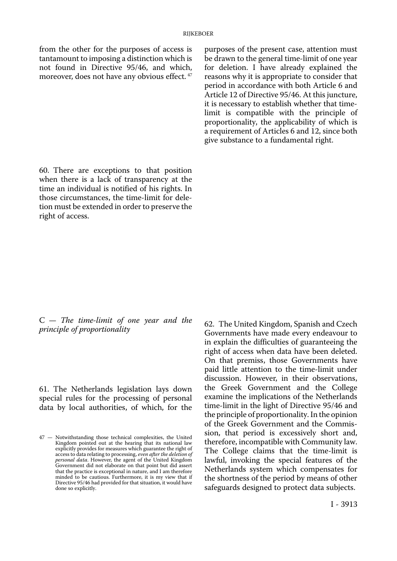from the other for the purposes of access is tantamount to imposing a distinction which is not found in Directive 95/46, and which, moreover, does not have any obvious effect. 47

purposes of the present case, attention must be drawn to the general time-limit of one year for deletion. I have already explained the reasons why it is appropriate to consider that period in accordance with both Article 6 and Article 12 of Directive 95/46. At this juncture, it is necessary to establish whether that timelimit is compatible with the principle of proportionality, the applicability of which is a requirement of Articles 6 and 12, since both give substance to a fundamental right.

60. There are exceptions to that position when there is a lack of transparency at the time an individual is notified of his rights. In those circumstances, the time-limit for deletion must be extended in order to preserve the right of access.

C — *The time-limit of one year and the principle of proportionality* 

61. The Netherlands legislation lays down special rules for the processing of personal data by local authorities, of which, for the

62. The United Kingdom, Spanish and Czech Governments have made every endeavour to in explain the difficulties of guaranteeing the right of access when data have been deleted. On that premiss, those Governments have paid little attention to the time-limit under discussion. However, in their observations, the Greek Government and the College examine the implications of the Netherlands time-limit in the light of Directive 95/46 and the principle of proportionality. In the opinion of the Greek Government and the Commission, that period is excessively short and, therefore, incompatible with Community law. The College claims that the time-limit is lawful, invoking the special features of the Netherlands system which compensates for the shortness of the period by means of other safeguards designed to protect data subjects.

<sup>47</sup> — Notwithstanding those technical complexities, the United Kingdom pointed out at the hearing that its national law explicitly provides for measures which guarantee the right of access to data relating to processing, *even after the deletion of personal data*. However, the agent of the United Kingdom Government did not elaborate on that point but did assert that the practice is exceptional in nature, and I am therefore minded to be cautious. Furthermore, it is my view that if Directive 95/46 had provided for that situation, it would have done so explicitly.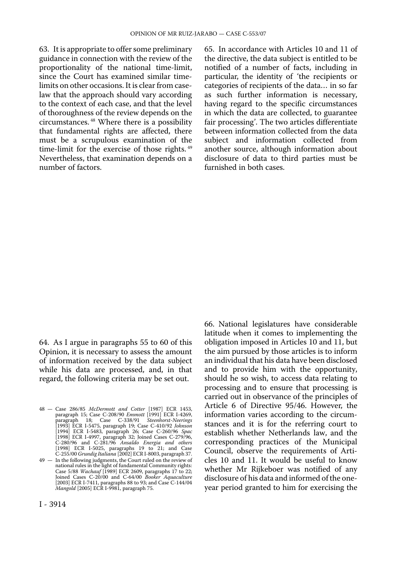63. It is appropriate to offer some preliminary guidance in connection with the review of the proportionality of the national time-limit, since the Court has examined similar timelimits on other occasions. It is clear from caselaw that the approach should vary according to the context of each case, and that the level of thoroughness of the review depends on the circumstances. 48 Where there is a possibility that fundamental rights are affected, there must be a scrupulous examination of the time-limit for the exercise of those rights.<sup>49</sup> Nevertheless, that examination depends on a number of factors.

65. In accordance with Articles 10 and 11 of the directive, the data subject is entitled to be notified of a number of facts, including in particular, the identity of 'the recipients or categories of recipients of the data… in so far as such further information is necessary, having regard to the specific circumstances in which the data are collected, to guarantee fair processing'. The two articles differentiate between information collected from the data subject and information collected from another source, although information about disclosure of data to third parties must be furnished in both cases.

64. As I argue in paragraphs 55 to 60 of this Opinion, it is necessary to assess the amount of information received by the data subject while his data are processed, and, in that regard, the following criteria may be set out.

latitude when it comes to implementing the obligation imposed in Articles 10 and 11, but the aim pursued by those articles is to inform an individual that his data have been disclosed and to provide him with the opportunity, should he so wish, to access data relating to processing and to ensure that processing is carried out in observance of the principles of Article 6 of Directive 95/46. However, the information varies according to the circumstances and it is for the referring court to establish whether Netherlands law, and the corresponding practices of the Municipal Council, observe the requirements of Articles 10 and 11. It would be useful to know whether Mr Rijkeboer was notified of any disclosure of his data and informed of the oneyear period granted to him for exercising the

66. National legislatures have considerable

<sup>48</sup> — Case 286/85 *McDermott and Cotter* [1987] ECR 1453, paragraph 15; Case C-208/90 *Emmott* [1991] ECR I-4269, paragraph 18; Case C-338/91 *Steenhorst-Neerings* [1993] ECR I-5475, paragraph 19; Case C-410/92 *Johnson*  [1994] ECR I-5483, paragraph 26; Case C-260/96 *Spac* [1998] ECR I-4997, paragraph 32; Joined Cases C-279/96, C-280/96 and C-281/96 *Ansaldo Energia and others*  [1998] ECR I-5025, paragraphs 19 to 21; and Case C-255/00 *Grundig Italiana* [2002] ECR I-8003, paragraph 37.

<sup>49</sup> — In the following judgments, the Court ruled on the review of national rules in the light of fundamental Community rights: Case 5/88 *Wachauf* [1989] ECR 2609, paragraphs 17 to 22; Joined Cases C-20/00 and C-64/00 *Booker Aquaculture* [2003] ECR I-7411, paragraphs 88 to 93; and Case C-144/04 *Mangold* [2005] ECR I-9981, paragraph 75.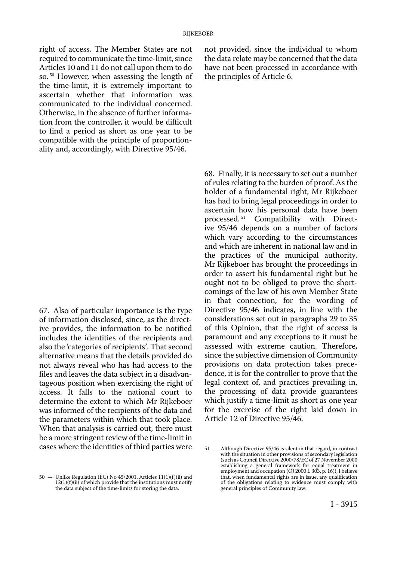right of access. The Member States are not required to communicate the time-limit, since Articles 10 and 11 do not call upon them to do so. 50 However, when assessing the length of the time-limit, it is extremely important to ascertain whether that information was communicated to the individual concerned. Otherwise, in the absence of further information from the controller, it would be difficult to find a period as short as one year to be compatible with the principle of proportionality and, accordingly, with Directive 95/46.

67. Also of particular importance is the type of information disclosed, since, as the directive provides, the information to be notified includes the identities of the recipients and also the 'categories of recipients'. That second alternative means that the details provided do not always reveal who has had access to the files and leaves the data subject in a disadvantageous position when exercising the right of access. It falls to the national court to determine the extent to which Mr Rijkeboer was informed of the recipients of the data and the parameters within which that took place. When that analysis is carried out, there must be a more stringent review of the time-limit in cases where the identities of third parties were

50 — Unlike Regulation (EC) No 45/2001, Articles 11(1)(f)(ii) and 12(1)(f)(ii) of which provide that the institutions must notify the data subject of the time-limits for storing the data.

not provided, since the individual to whom the data relate may be concerned that the data have not been processed in accordance with the principles of Article 6.

68. Finally, it is necessary to set out a number of rules relating to the burden of proof. As the holder of a fundamental right, Mr Rijkeboer has had to bring legal proceedings in order to ascertain how his personal data have been processed. 51 Compatibility with Directive 95/46 depends on a number of factors which vary according to the circumstances and which are inherent in national law and in the practices of the municipal authority. Mr Rijkeboer has brought the proceedings in order to assert his fundamental right but he ought not to be obliged to prove the shortcomings of the law of his own Member State in that connection, for the wording of Directive 95/46 indicates, in line with the considerations set out in paragraphs 29 to 35 of this Opinion, that the right of access is paramount and any exceptions to it must be assessed with extreme caution. Therefore, since the subjective dimension of Community provisions on data protection takes precedence, it is for the controller to prove that the legal context of, and practices prevailing in, the processing of data provide guarantees which justify a time-limit as short as one year for the exercise of the right laid down in Article 12 of Directive 95/46.

<sup>51</sup> — Although Directive 95/46 is silent in that regard, in contrast with the situation in other provisions of secondary legislation (such as Council Directive 2000/78/EC of 27 November 2000 establishing a general framework for equal treatment in employment and occupation (OJ 2000 L 303, p. 16)), I believe that, when fundamental rights are in issue, any qualification of the obligations relating to evidence must comply with general principles of Community law.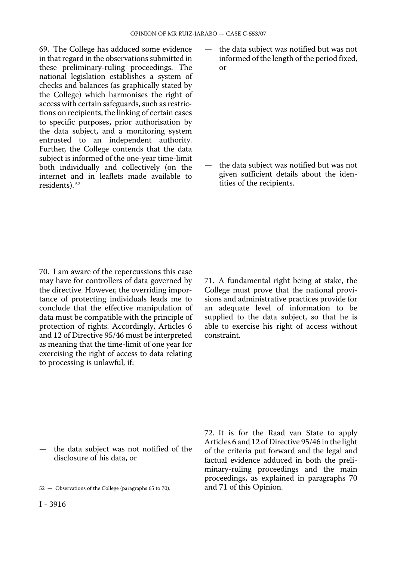69. The College has adduced some evidence in that regard in the observations submitted in these preliminary-ruling proceedings. The national legislation establishes a system of checks and balances (as graphically stated by the College) which harmonises the right of access with certain safeguards, such as restrictions on recipients, the linking of certain cases to specific purposes, prior authorisation by the data subject, and a monitoring system entrusted to an independent authority. Further, the College contends that the data subject is informed of the one-year time-limit both individually and collectively (on the internet and in leaflets made available to residents). 52

the data subject was notified but was not informed of the length of the period fixed, or

the data subject was notified but was not given sufficient details about the identities of the recipients.

70. I am aware of the repercussions this case may have for controllers of data governed by the directive. However, the overriding importance of protecting individuals leads me to conclude that the effective manipulation of data must be compatible with the principle of protection of rights. Accordingly, Articles 6 and 12 of Directive 95/46 must be interpreted as meaning that the time-limit of one year for exercising the right of access to data relating to processing is unlawful, if:

71. A fundamental right being at stake, the College must prove that the national provisions and administrative practices provide for an adequate level of information to be supplied to the data subject, so that he is able to exercise his right of access without constraint.

— the data subject was not notified of the disclosure of his data, or

72. It is for the Raad van State to apply Articles 6 and 12 of Directive 95/46 in the light of the criteria put forward and the legal and factual evidence adduced in both the preliminary-ruling proceedings and the main proceedings, as explained in paragraphs 70 and 71 of this Opinion.

<sup>52</sup> — Observations of the College (paragraphs 65 to 70).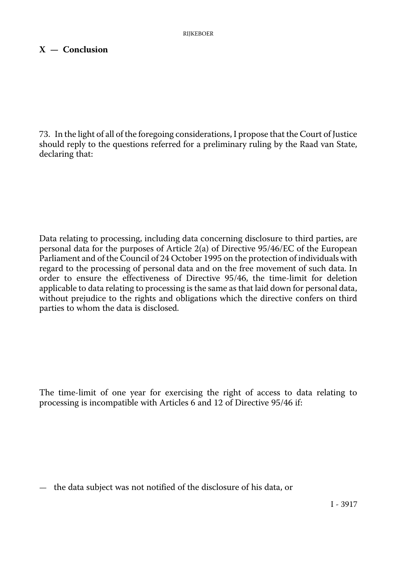## **X — Conclusion**

73. In the light of all of the foregoing considerations, I propose that the Court of Justice should reply to the questions referred for a preliminary ruling by the Raad van State, declaring that:

Data relating to processing, including data concerning disclosure to third parties, are personal data for the purposes of Article 2(a) of Directive 95/46/EC of the European Parliament and of the Council of 24 October 1995 on the protection of individuals with regard to the processing of personal data and on the free movement of such data. In order to ensure the effectiveness of Directive 95/46, the time-limit for deletion applicable to data relating to processing is the same as that laid down for personal data, without prejudice to the rights and obligations which the directive confers on third parties to whom the data is disclosed.

The time-limit of one year for exercising the right of access to data relating to processing is incompatible with Articles 6 and 12 of Directive 95/46 if:

— the data subject was not notified of the disclosure of his data, or